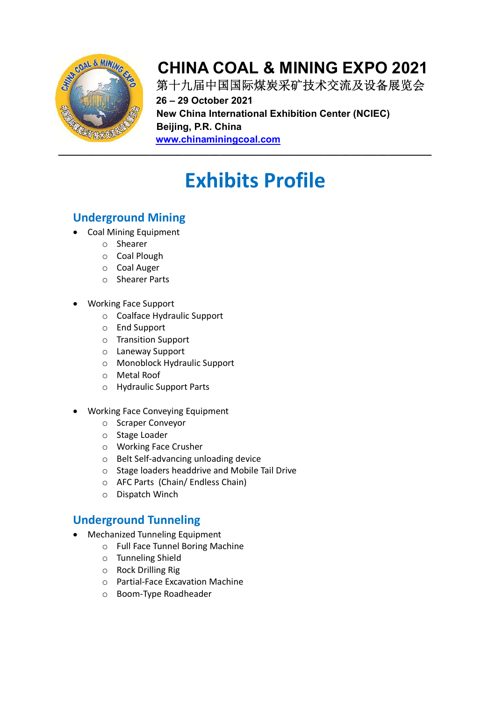

第十九届中国国际煤炭采矿技术交流及设备展览会 **26 – 29 October 2021 New China International Exhibition Center (NCIEC) Beijing, P.R. China www.chinaminingcoal.com**

# **Exhibits Profile**

#### **Underground Mining**

- Coal Mining Equipment
	- o Shearer
	- o Coal Plough
	- o Coal Auger
	- o Shearer Parts
- Working Face Support
	- o Coalface Hydraulic Support
	- o End Support
	- o Transition Support
	- o Laneway Support
	- o Monoblock Hydraulic Support
	- o Metal Roof
	- o Hydraulic Support Parts
- Working Face Conveying Equipment
	- o Scraper Conveyor
	- o Stage Loader
	- o Working Face Crusher
	- o Belt Self-advancing unloading device
	- o Stage loaders headdrive and Mobile Tail Drive
	- o AFC Parts (Chain/ Endless Chain)
	- o Dispatch Winch

#### **Underground Tunneling**

- Mechanized Tunneling Equipment
	- o Full Face Tunnel Boring Machine
	- o Tunneling Shield
	- o Rock Drilling Rig
	- o Partial-Face Excavation Machine
	- o Boom-Type Roadheader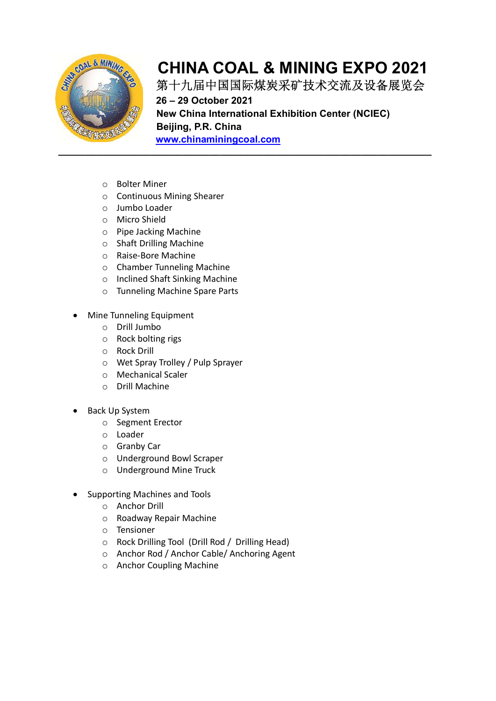

第十九届中国国际煤炭采矿技术交流及设备展览会 **26 – 29 October 2021 New China International Exhibition Center (NCIEC) Beijing, P.R. China www.chinaminingcoal.com**

- o Bolter Miner
- o Continuous Mining Shearer
- o Jumbo Loader
- o Micro Shield
- o Pipe Jacking Machine
- o Shaft Drilling Machine
- o Raise-Bore Machine
- o Chamber Tunneling Machine
- o Inclined Shaft Sinking Machine
- o Tunneling Machine Spare Parts
- Mine Tunneling Equipment
	- o Drill Jumbo
	- o Rock bolting rigs
	- o Rock Drill
	- o Wet Spray Trolley / Pulp Sprayer
	- o Mechanical Scaler
	- o Drill Machine
- Back Up System
	- o Segment Erector
	- o Loader
	- o Granby Car
	- o Underground Bowl Scraper
	- o Underground Mine Truck
- Supporting Machines and Tools
	- o Anchor Drill
	- o Roadway Repair Machine
	- o Tensioner
	- o Rock Drilling Tool (Drill Rod / Drilling Head)
	- o Anchor Rod / Anchor Cable/ Anchoring Agent
	- o Anchor Coupling Machine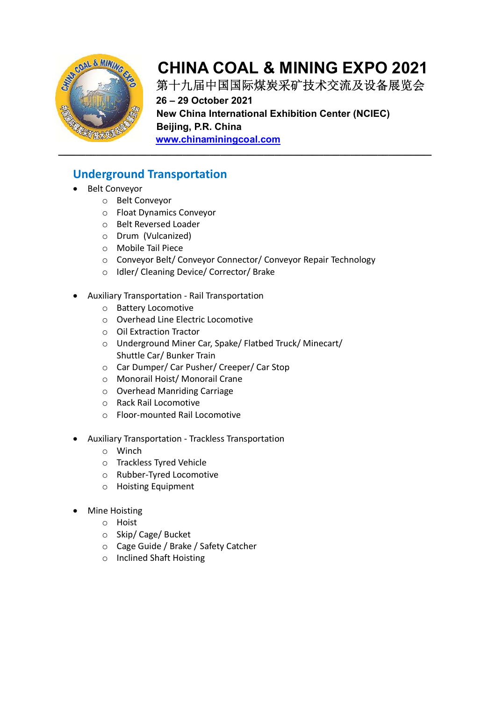

第十九届中国国际煤炭采矿技术交流及设备展览会 **26 – 29 October 2021 New China International Exhibition Center (NCIEC) Beijing, P.R. China www.chinaminingcoal.com**

**Underground Transportation** 

- Belt Conveyor
	- o Belt Conveyor
	- o Float Dynamics Conveyor
	- o Belt Reversed Loader
	- o Drum (Vulcanized)
	- o Mobile Tail Piece
	- o Conveyor Belt/ Conveyor Connector/ Conveyor Repair Technology
	- o Idler/ Cleaning Device/ Corrector/ Brake
- Auxiliary Transportation Rail Transportation
	- o Battery Locomotive
	- o Overhead Line Electric Locomotive
	- o Oil Extraction Tractor
	- o Underground Miner Car, Spake/ Flatbed Truck/ Minecart/ Shuttle Car/ Bunker Train
	- o Car Dumper/ Car Pusher/ Creeper/ Car Stop
	- o Monorail Hoist/ Monorail Crane
	- o Overhead Manriding Carriage
	- o Rack Rail Locomotive
	- o Floor-mounted Rail Locomotive
- Auxiliary Transportation Trackless Transportation
	- o Winch
	- o Trackless Tyred Vehicle
	- o Rubber-Tyred Locomotive
	- o Hoisting Equipment
- Mine Hoisting
	- o Hoist
	- o Skip/ Cage/ Bucket
	- o Cage Guide / Brake / Safety Catcher
	- o Inclined Shaft Hoisting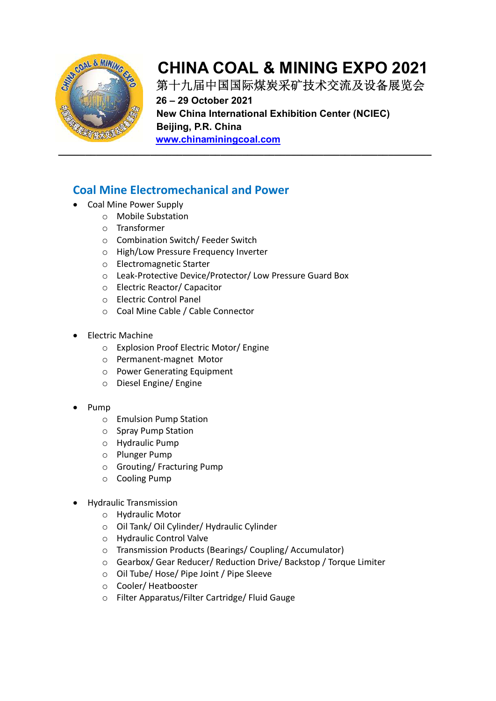

第十九届中国国际煤炭采矿技术交流及设备展览会 **26 – 29 October 2021 New China International Exhibition Center (NCIEC) Beijing, P.R. China www.chinaminingcoal.com**

#### **Coal Mine Electromechanical and Power**

- Coal Mine Power Supply
	- o Mobile Substation
	- o Transformer
	- o Combination Switch/ Feeder Switch
	- o High/Low Pressure Frequency Inverter
	- o Electromagnetic Starter
	- o Leak-Protective Device/Protector/ Low Pressure Guard Box
	- o Electric Reactor/ Capacitor
	- o Electric Control Panel
	- o Coal Mine Cable / Cable Connector
- Electric Machine
	- o Explosion Proof Electric Motor/ Engine
	- o Permanent-magnet Motor
	- o Power Generating Equipment
	- o Diesel Engine/ Engine
- Pump
	- o Emulsion Pump Station
	- o Spray Pump Station
	- o Hydraulic Pump
	- o Plunger Pump
	- o Grouting/ Fracturing Pump
	- o Cooling Pump
- Hydraulic Transmission
	- o Hydraulic Motor
	- o Oil Tank/ Oil Cylinder/ Hydraulic Cylinder
	- o Hydraulic Control Valve
	- o Transmission Products (Bearings/ Coupling/ Accumulator)
	- o Gearbox/ Gear Reducer/ Reduction Drive/ Backstop / Torque Limiter
	- o Oil Tube/ Hose/ Pipe Joint / Pipe Sleeve
	- o Cooler/ Heatbooster
	- o Filter Apparatus/Filter Cartridge/ Fluid Gauge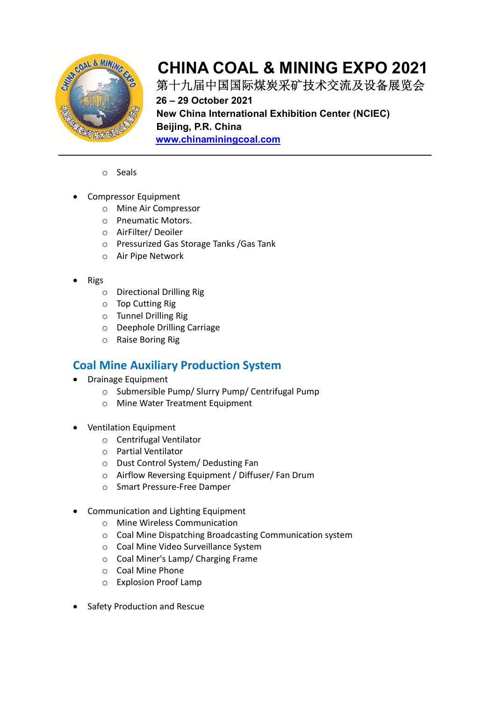

第十九届中国国际煤炭采矿技术交流及设备展览会 **26 – 29 October 2021 New China International Exhibition Center (NCIEC) Beijing, P.R. China www.chinaminingcoal.com**

- o Seals
- Compressor Equipment
	- o Mine Air Compressor
	- o Pneumatic Motors.
	- o AirFilter/ Deoiler
	- o Pressurized Gas Storage Tanks /Gas Tank
	- o Air Pipe Network
- Rigs
	- o Directional Drilling Rig
	- o Top Cutting Rig
	- o Tunnel Drilling Rig
	- o Deephole Drilling Carriage
	- o Raise Boring Rig

#### **Coal Mine Auxiliary Production System**

- Drainage Equipment
	- o Submersible Pump/ Slurry Pump/ Centrifugal Pump
	- o Mine Water Treatment Equipment
- Ventilation Equipment
	- o Centrifugal Ventilator
	- o Partial Ventilator
	- o Dust Control System/ Dedusting Fan
	- o Airflow Reversing Equipment / Diffuser/ Fan Drum
	- o Smart Pressure-Free Damper
- Communication and Lighting Equipment
	- o Mine Wireless Communication
	- o Coal Mine Dispatching Broadcasting Communication system
	- o Coal Mine Video Surveillance System
	- o Coal Miner's Lamp/ Charging Frame
	- o Coal Mine Phone
	- o Explosion Proof Lamp
- Safety Production and Rescue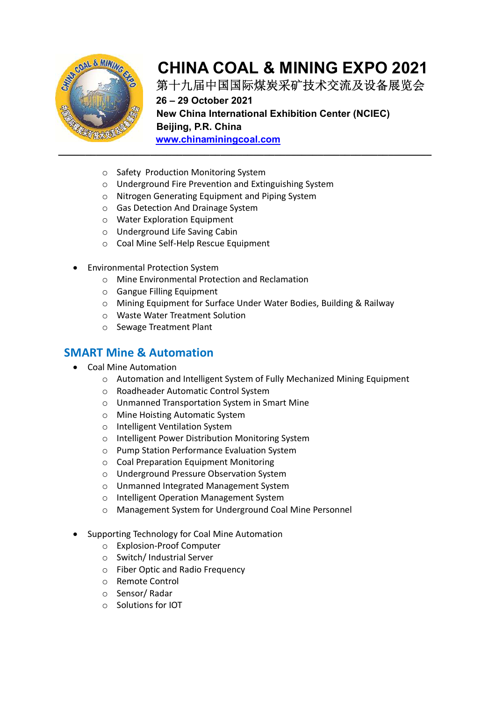

第十九届中国国际煤炭采矿技术交流及设备展览会

**26 – 29 October 2021 New China International Exhibition Center (NCIEC) Beijing, P.R. China www.chinaminingcoal.com**

- o Safety Production Monitoring System
- o Underground Fire Prevention and Extinguishing System
- o Nitrogen Generating Equipment and Piping System
- o Gas Detection And Drainage System
- o Water Exploration Equipment
- o Underground Life Saving Cabin
- o Coal Mine Self-Help Rescue Equipment
- Environmental Protection System
	- o Mine Environmental Protection and Reclamation
	- o Gangue Filling Equipment
	- o Mining Equipment for Surface Under Water Bodies, Building & Railway
	- o Waste Water Treatment Solution
	- o Sewage Treatment Plant

#### **SMART Mine & Automation**

- Coal Mine Automation
	- o Automation and Intelligent System of Fully Mechanized Mining Equipment
	- o Roadheader Automatic Control System
	- o Unmanned Transportation System in Smart Mine
	- o Mine Hoisting Automatic System
	- o Intelligent Ventilation System
	- o Intelligent Power Distribution Monitoring System
	- o Pump Station Performance Evaluation System
	- o Coal Preparation Equipment Monitoring
	- o Underground Pressure Observation System
	- o Unmanned Integrated Management System
	- o Intelligent Operation Management System
	- o Management System for Underground Coal Mine Personnel
- Supporting Technology for Coal Mine Automation
	- o Explosion-Proof Computer
	- o Switch/ Industrial Server
	- o Fiber Optic and Radio Frequency
	- o Remote Control
	- o Sensor/ Radar
	- o Solutions for IOT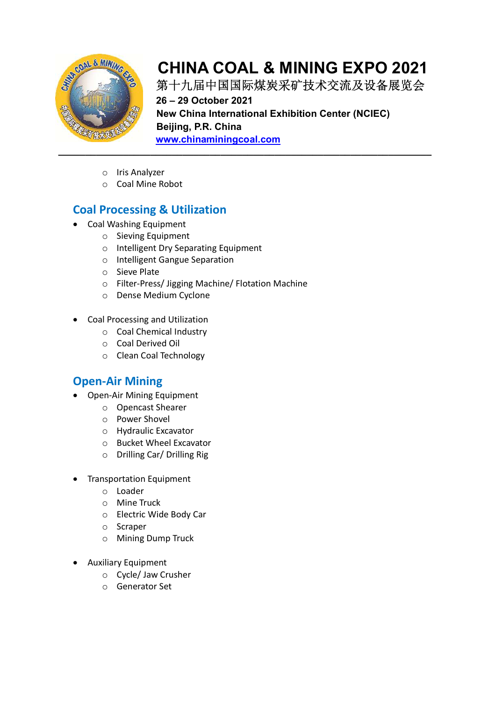

第十九届中国国际煤炭采矿技术交流及设备展览会 **26 – 29 October 2021 New China International Exhibition Center (NCIEC) Beijing, P.R. China www.chinaminingcoal.com**

- o Iris Analyzer
- o Coal Mine Robot

#### **Coal Processing & Utilization**

- Coal Washing Equipment
	- o Sieving Equipment
	- o Intelligent Dry Separating Equipment
	- o Intelligent Gangue Separation
	- o Sieve Plate
	- o Filter-Press/ Jigging Machine/ Flotation Machine
	- o Dense Medium Cyclone
- Coal Processing and Utilization
	- o Coal Chemical Industry
	- o Coal Derived Oil
	- o Clean Coal Technology

#### **Open-Air Mining**

- Open-Air Mining Equipment
	- o Opencast Shearer
	- o Power Shovel
	- o Hydraulic Excavator
	- o Bucket Wheel Excavator
	- o Drilling Car/ Drilling Rig
- Transportation Equipment
	- o Loader
	- o Mine Truck
	- o Electric Wide Body Car
	- o Scraper
	- o Mining Dump Truck
- Auxiliary Equipment
	- o Cycle/ Jaw Crusher
	- o Generator Set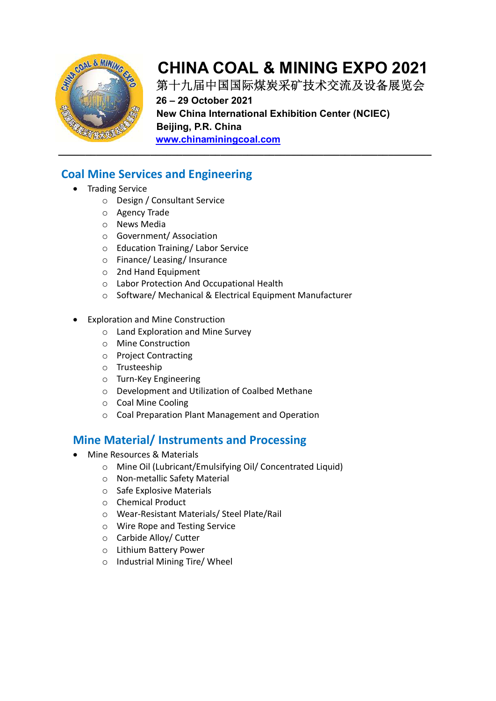

第十九届中国国际煤炭采矿技术交流及设备展览会 **26 – 29 October 2021 New China International Exhibition Center (NCIEC) Beijing, P.R. China** 

**www.chinaminingcoal.com**

#### **Coal Mine Services and Engineering**

- Trading Service
	- o Design / Consultant Service
	- o Agency Trade
	- o News Media
	- o Government/ Association
	- o Education Training/ Labor Service
	- o Finance/ Leasing/ Insurance
	- o 2nd Hand Equipment
	- o Labor Protection And Occupational Health
	- o Software/ Mechanical & Electrical Equipment Manufacturer
- Exploration and Mine Construction
	- o Land Exploration and Mine Survey
	- o Mine Construction
	- o Project Contracting
	- o Trusteeship
	- o Turn-Key Engineering
	- o Development and Utilization of Coalbed Methane
	- o Coal Mine Cooling
	- o Coal Preparation Plant Management and Operation

#### **Mine Material/ Instruments and Processing**

- Mine Resources & Materials
	- o Mine Oil (Lubricant/Emulsifying Oil/ Concentrated Liquid)
	- o Non-metallic Safety Material
	- o Safe Explosive Materials
	- o Chemical Product
	- o Wear-Resistant Materials/ Steel Plate/Rail
	- o Wire Rope and Testing Service
	- o Carbide Alloy/ Cutter
	- o Lithium Battery Power
	- o Industrial Mining Tire/ Wheel